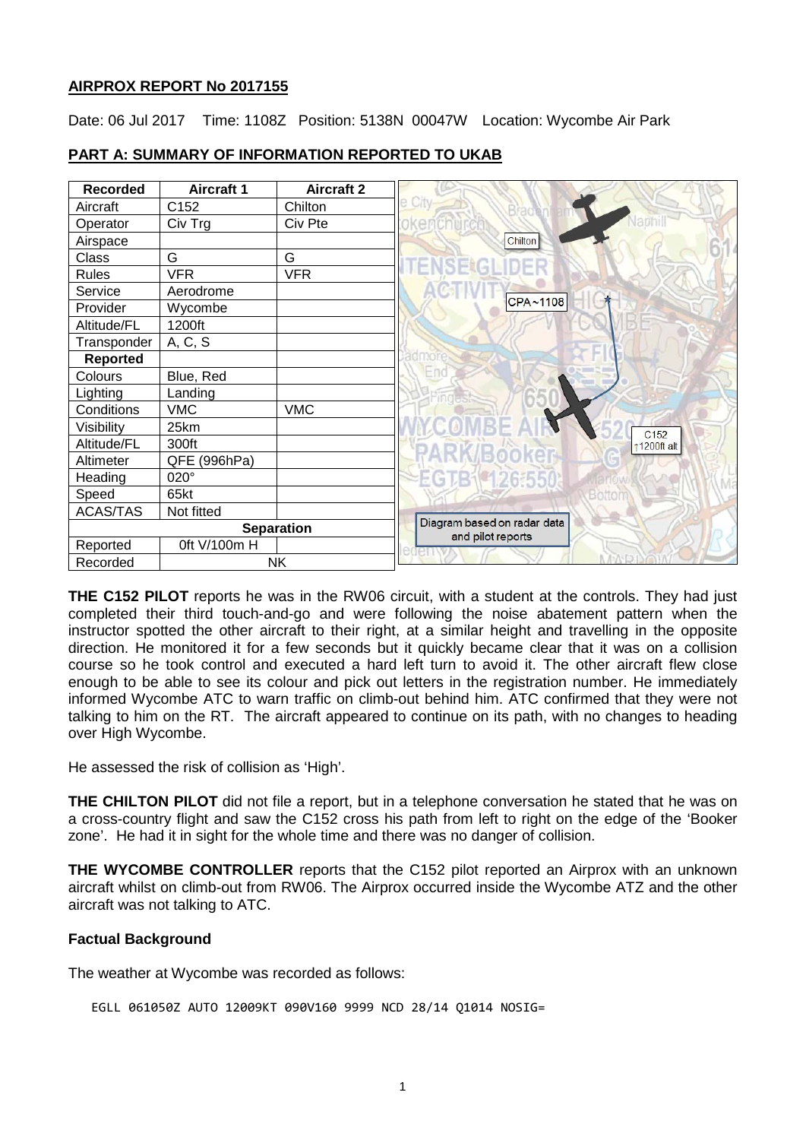## **AIRPROX REPORT No 2017155**

Date: 06 Jul 2017 Time: 1108Z Position: 5138N 00047W Location: Wycombe Air Park

| <b>Recorded</b>   | <b>Aircraft 1</b> | <b>Aircraft 2</b>                                |                 |
|-------------------|-------------------|--------------------------------------------------|-----------------|
| Aircraft          | C152              | Chilton                                          | City            |
| Operator          | Civ Trg           | Civ Pte                                          |                 |
| Airspace          |                   |                                                  | Chilton         |
| Class             | G                 | G                                                |                 |
| <b>Rules</b>      | <b>VFR</b>        | <b>VFR</b>                                       |                 |
| Service           | Aerodrome         |                                                  |                 |
| Provider          | Wycombe           |                                                  | CPA~1108        |
| Altitude/FL       | 1200ft            |                                                  |                 |
| Transponder       | A, C, S           |                                                  |                 |
| <b>Reported</b>   |                   |                                                  |                 |
| Colours           | Blue, Red         |                                                  | $\equiv$ no     |
| Lighting          | Landing           |                                                  |                 |
| Conditions        | <b>VMC</b>        | <b>VMC</b>                                       |                 |
| Visibility        | 25km              |                                                  |                 |
| Altitude/FL       | 300ft             |                                                  |                 |
| Altimeter         | QFE (996hPa)      |                                                  |                 |
| Heading           | 020°              |                                                  | <b>TB142655</b> |
| Speed             | 65kt              |                                                  |                 |
| <b>ACAS/TAS</b>   | Not fitted        |                                                  |                 |
| <b>Separation</b> |                   | Diagram based on radar data<br>and pilot reports |                 |
| Reported          | 0ft V/100m H      |                                                  |                 |
| Recorded          | <b>NK</b>         |                                                  |                 |

# **PART A: SUMMARY OF INFORMATION REPORTED TO UKAB**

**THE C152 PILOT** reports he was in the RW06 circuit, with a student at the controls. They had just completed their third touch-and-go and were following the noise abatement pattern when the instructor spotted the other aircraft to their right, at a similar height and travelling in the opposite direction. He monitored it for a few seconds but it quickly became clear that it was on a collision course so he took control and executed a hard left turn to avoid it. The other aircraft flew close enough to be able to see its colour and pick out letters in the registration number. He immediately informed Wycombe ATC to warn traffic on climb-out behind him. ATC confirmed that they were not talking to him on the RT. The aircraft appeared to continue on its path, with no changes to heading over High Wycombe.

He assessed the risk of collision as 'High'.

**THE CHILTON PILOT** did not file a report, but in a telephone conversation he stated that he was on a cross-country flight and saw the C152 cross his path from left to right on the edge of the 'Booker zone'. He had it in sight for the whole time and there was no danger of collision.

**THE WYCOMBE CONTROLLER** reports that the C152 pilot reported an Airprox with an unknown aircraft whilst on climb-out from RW06. The Airprox occurred inside the Wycombe ATZ and the other aircraft was not talking to ATC.

## **Factual Background**

The weather at Wycombe was recorded as follows:

```
EGLL 061050Z AUTO 12009KT 090V160 9999 NCD 28/14 Q1014 NOSIG=
```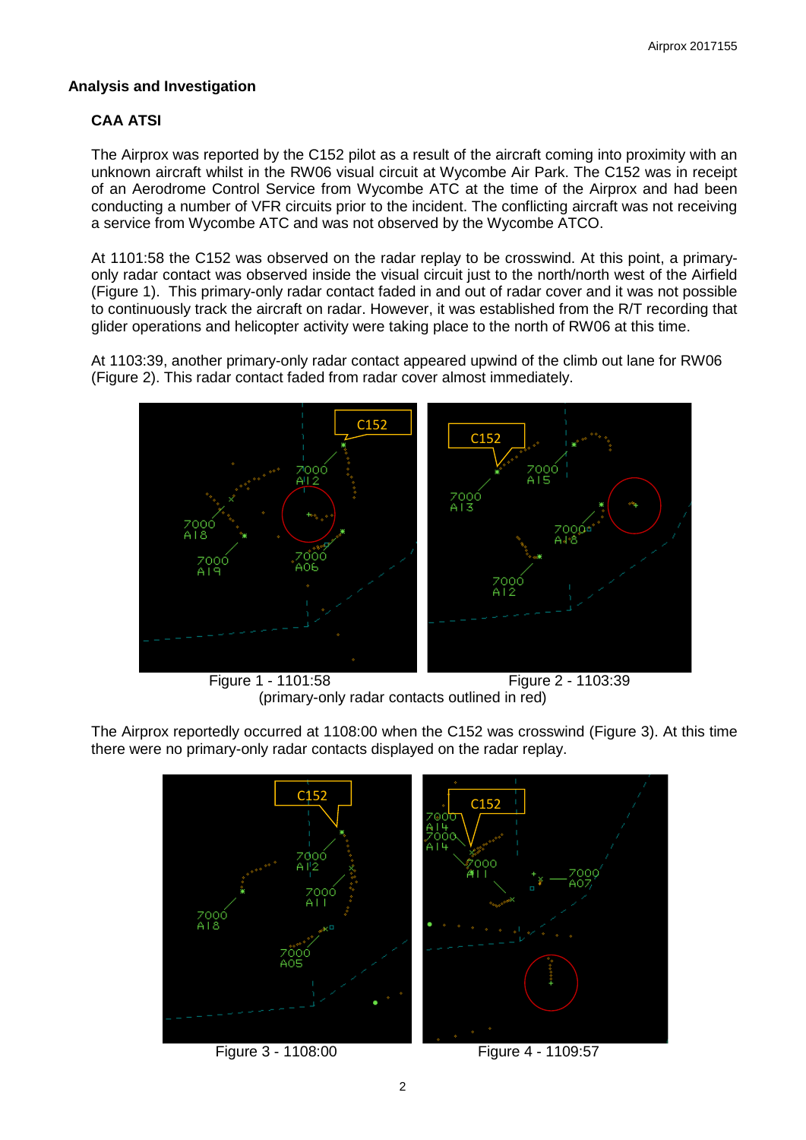# **Analysis and Investigation**

# **CAA ATSI**

The Airprox was reported by the C152 pilot as a result of the aircraft coming into proximity with an unknown aircraft whilst in the RW06 visual circuit at Wycombe Air Park. The C152 was in receipt of an Aerodrome Control Service from Wycombe ATC at the time of the Airprox and had been conducting a number of VFR circuits prior to the incident. The conflicting aircraft was not receiving a service from Wycombe ATC and was not observed by the Wycombe ATCO.

At 1101:58 the C152 was observed on the radar replay to be crosswind. At this point, a primaryonly radar contact was observed inside the visual circuit just to the north/north west of the Airfield (Figure 1). This primary-only radar contact faded in and out of radar cover and it was not possible to continuously track the aircraft on radar. However, it was established from the R/T recording that glider operations and helicopter activity were taking place to the north of RW06 at this time.

At 1103:39, another primary-only radar contact appeared upwind of the climb out lane for RW06 (Figure 2). This radar contact faded from radar cover almost immediately.



 Figure 1 - 1101:58 Figure 2 - 1103:39 (primary-only radar contacts outlined in red)

The Airprox reportedly occurred at 1108:00 when the C152 was crosswind (Figure 3). At this time there were no primary-only radar contacts displayed on the radar replay.

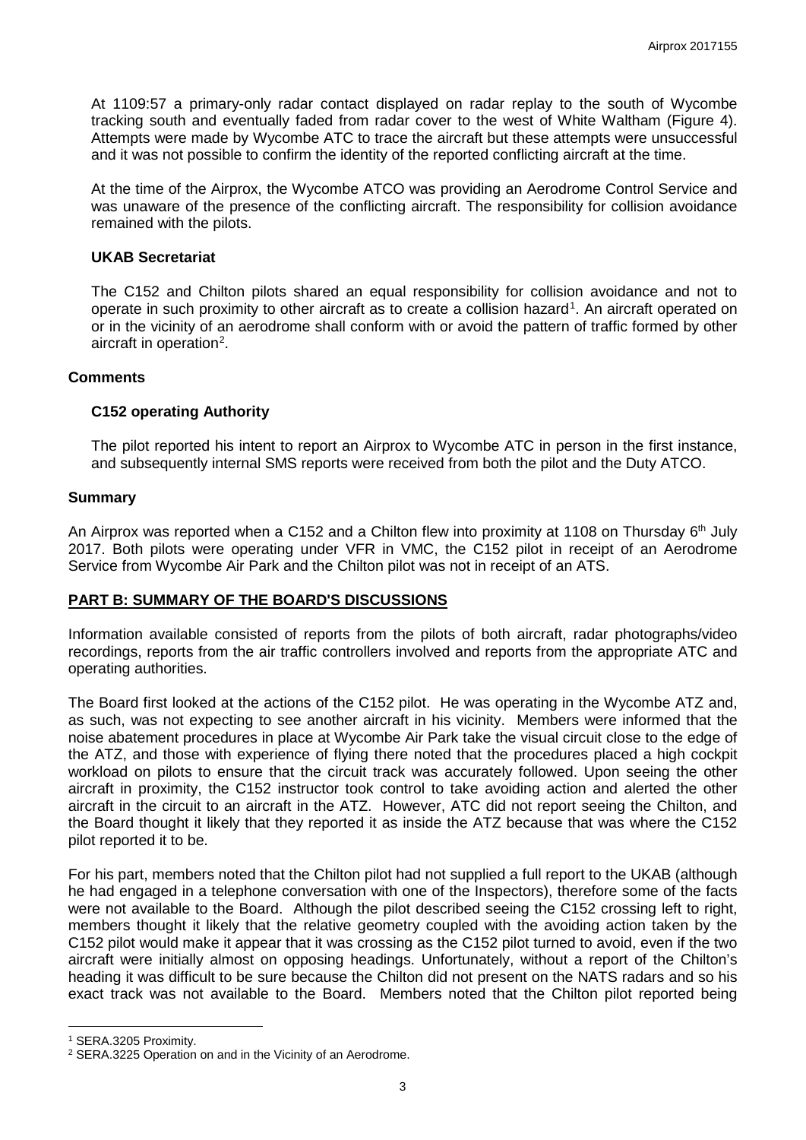At 1109:57 a primary-only radar contact displayed on radar replay to the south of Wycombe tracking south and eventually faded from radar cover to the west of White Waltham (Figure 4). Attempts were made by Wycombe ATC to trace the aircraft but these attempts were unsuccessful and it was not possible to confirm the identity of the reported conflicting aircraft at the time.

At the time of the Airprox, the Wycombe ATCO was providing an Aerodrome Control Service and was unaware of the presence of the conflicting aircraft. The responsibility for collision avoidance remained with the pilots.

#### **UKAB Secretariat**

The C152 and Chilton pilots shared an equal responsibility for collision avoidance and not to operate in such proximity to other aircraft as to create a collision hazard<sup>[1](#page-2-0)</sup>. An aircraft operated on or in the vicinity of an aerodrome shall conform with or avoid the pattern of traffic formed by other aircraft in operation<sup>[2](#page-2-1)</sup>.

## **Comments**

## **C152 operating Authority**

The pilot reported his intent to report an Airprox to Wycombe ATC in person in the first instance, and subsequently internal SMS reports were received from both the pilot and the Duty ATCO.

## **Summary**

An Airprox was reported when a C152 and a Chilton flew into proximity at 1108 on Thursday 6<sup>th</sup> July 2017. Both pilots were operating under VFR in VMC, the C152 pilot in receipt of an Aerodrome Service from Wycombe Air Park and the Chilton pilot was not in receipt of an ATS.

## **PART B: SUMMARY OF THE BOARD'S DISCUSSIONS**

Information available consisted of reports from the pilots of both aircraft, radar photographs/video recordings, reports from the air traffic controllers involved and reports from the appropriate ATC and operating authorities.

The Board first looked at the actions of the C152 pilot. He was operating in the Wycombe ATZ and, as such, was not expecting to see another aircraft in his vicinity. Members were informed that the noise abatement procedures in place at Wycombe Air Park take the visual circuit close to the edge of the ATZ, and those with experience of flying there noted that the procedures placed a high cockpit workload on pilots to ensure that the circuit track was accurately followed. Upon seeing the other aircraft in proximity, the C152 instructor took control to take avoiding action and alerted the other aircraft in the circuit to an aircraft in the ATZ. However, ATC did not report seeing the Chilton, and the Board thought it likely that they reported it as inside the ATZ because that was where the C152 pilot reported it to be.

For his part, members noted that the Chilton pilot had not supplied a full report to the UKAB (although he had engaged in a telephone conversation with one of the Inspectors), therefore some of the facts were not available to the Board. Although the pilot described seeing the C152 crossing left to right, members thought it likely that the relative geometry coupled with the avoiding action taken by the C152 pilot would make it appear that it was crossing as the C152 pilot turned to avoid, even if the two aircraft were initially almost on opposing headings. Unfortunately, without a report of the Chilton's heading it was difficult to be sure because the Chilton did not present on the NATS radars and so his exact track was not available to the Board. Members noted that the Chilton pilot reported being

l

<span id="page-2-0"></span><sup>1</sup> SERA.3205 Proximity.

<span id="page-2-1"></span><sup>2</sup> SERA.3225 Operation on and in the Vicinity of an Aerodrome.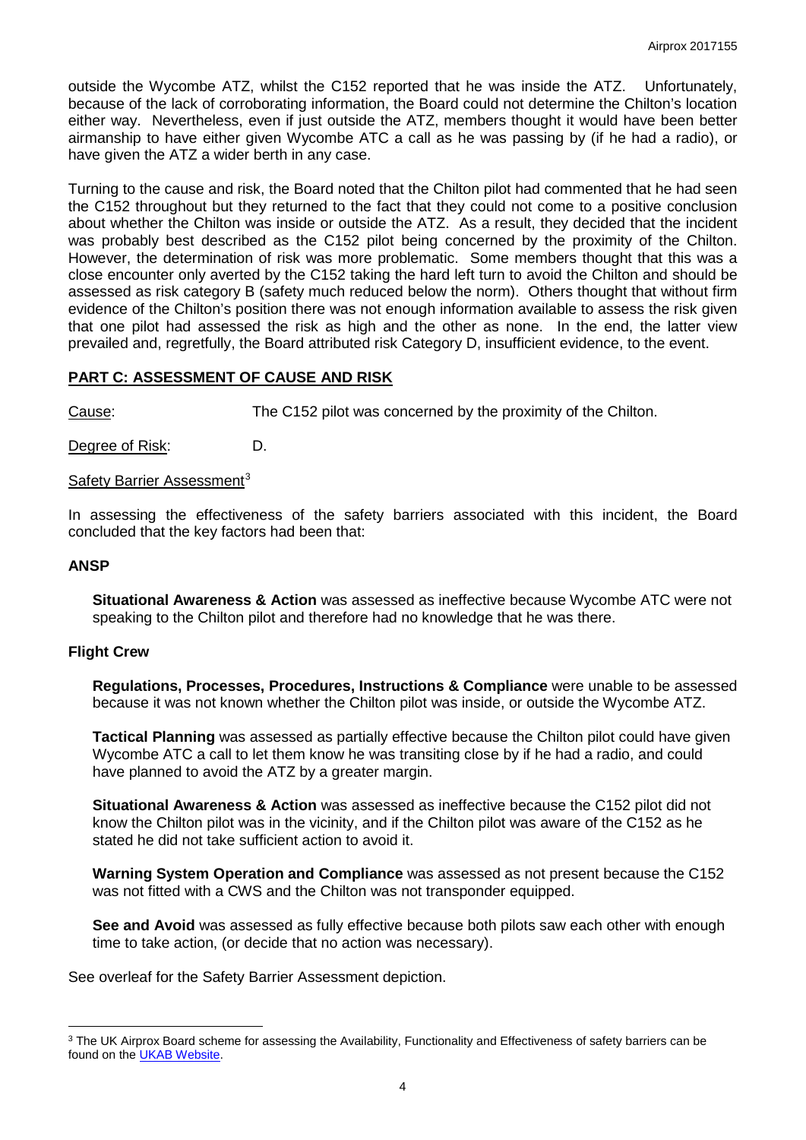outside the Wycombe ATZ, whilst the C152 reported that he was inside the ATZ. Unfortunately, because of the lack of corroborating information, the Board could not determine the Chilton's location either way. Nevertheless, even if just outside the ATZ, members thought it would have been better airmanship to have either given Wycombe ATC a call as he was passing by (if he had a radio), or have given the ATZ a wider berth in any case.

Turning to the cause and risk, the Board noted that the Chilton pilot had commented that he had seen the C152 throughout but they returned to the fact that they could not come to a positive conclusion about whether the Chilton was inside or outside the ATZ. As a result, they decided that the incident was probably best described as the C152 pilot being concerned by the proximity of the Chilton. However, the determination of risk was more problematic. Some members thought that this was a close encounter only averted by the C152 taking the hard left turn to avoid the Chilton and should be assessed as risk category B (safety much reduced below the norm). Others thought that without firm evidence of the Chilton's position there was not enough information available to assess the risk given that one pilot had assessed the risk as high and the other as none. In the end, the latter view prevailed and, regretfully, the Board attributed risk Category D, insufficient evidence, to the event.

## **PART C: ASSESSMENT OF CAUSE AND RISK**

Cause: The C152 pilot was concerned by the proximity of the Chilton.

Degree of Risk: D.

#### Safety Barrier Assessment<sup>[3](#page-3-0)</sup>

In assessing the effectiveness of the safety barriers associated with this incident, the Board concluded that the key factors had been that:

#### **ANSP**

l

**Situational Awareness & Action** was assessed as ineffective because Wycombe ATC were not speaking to the Chilton pilot and therefore had no knowledge that he was there.

#### **Flight Crew**

**Regulations, Processes, Procedures, Instructions & Compliance** were unable to be assessed because it was not known whether the Chilton pilot was inside, or outside the Wycombe ATZ.

**Tactical Planning** was assessed as partially effective because the Chilton pilot could have given Wycombe ATC a call to let them know he was transiting close by if he had a radio, and could have planned to avoid the ATZ by a greater margin.

**Situational Awareness & Action** was assessed as ineffective because the C152 pilot did not know the Chilton pilot was in the vicinity, and if the Chilton pilot was aware of the C152 as he stated he did not take sufficient action to avoid it.

**Warning System Operation and Compliance** was assessed as not present because the C152 was not fitted with a CWS and the Chilton was not transponder equipped.

**See and Avoid** was assessed as fully effective because both pilots saw each other with enough time to take action, (or decide that no action was necessary).

See overleaf for the Safety Barrier Assessment depiction.

<span id="page-3-0"></span><sup>&</sup>lt;sup>3</sup> The UK Airprox Board scheme for assessing the Availability, Functionality and Effectiveness of safety barriers can be found on the [UKAB Website.](http://www.airproxboard.org.uk/Learn-more/Airprox-Barrier-Assessment/)